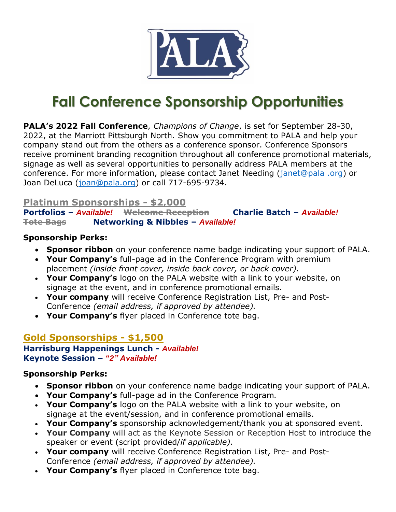

## **Fall Conference Sponsorship Opportunities**

**PALA's 2022 Fall Conference**, *Champions of Change*, is set for September 28-30, 2022, at the Marriott Pittsburgh North. Show you commitment to PALA and help your company stand out from the others as a conference sponsor. Conference Sponsors receive prominent branding recognition throughout all conference promotional materials, signage as well as several opportunities to personally address PALA members at the conference. For more information, please contact Janet Needing [\(janet@pala](mailto:janet@pala.org) .org) or Joan DeLuca [\(joan@pala.org\)](mailto:joan@pala.org) or call 717-695-9734.

### **Platinum Sponsorships - \$2,000**

**Portfolios –** *Available!* **Welcome Reception****Charlie Batch –** *Available!* **Tote Bags Networking & Nibbles –** *Available!*

#### **Sponsorship Perks:**

- **Sponsor ribbon** on your conference name badge indicating your support of PALA.
- **Your Company's** full-page ad in the Conference Program with premium placement *(inside front cover, inside back cover, or back cover).*
- **Your Company's** logo on the PALA website with a link to your website, on signage at the event, and in conference promotional emails.
- **Your company** will receive Conference Registration List, Pre- and Post-Conference *(email address, if approved by attendee).*
- **Your Company's** flyer placed in Conference tote bag.

## **Gold Sponsorships - \$1,500**

#### **Harrisburg Happenings Lunch -** *Available!* **Keynote Session – "***2" Available!*

#### **Sponsorship Perks:**

- **Sponsor ribbon** on your conference name badge indicating your support of PALA.
- **Your Company's** full-page ad in the Conference Program*.*
- **Your Company's** logo on the PALA website with a link to your website, on signage at the event/session, and in conference promotional emails.
- **Your Company's** sponsorship acknowledgement/thank you at sponsored event.
- **Your Company** will act as the Keynote Session or Reception Host to introduce the speaker or event (script provided/*if applicable).*
- **Your company** will receive Conference Registration List, Pre- and Post-Conference *(email address, if approved by attendee).*
- **Your Company's** flyer placed in Conference tote bag.